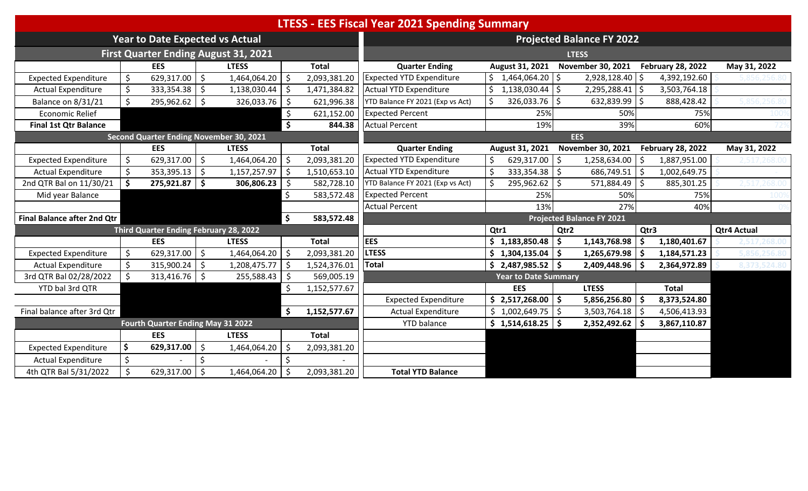| <b>LTESS - EES Fiscal Year 2021 Spending Summary</b> |    |                                         |              |                                             |                     |              |                                  |      |                                 |              |                                  |            |                          |                    |              |  |  |
|------------------------------------------------------|----|-----------------------------------------|--------------|---------------------------------------------|---------------------|--------------|----------------------------------|------|---------------------------------|--------------|----------------------------------|------------|--------------------------|--------------------|--------------|--|--|
|                                                      |    | <b>Year to Date Expected vs Actual</b>  |              |                                             |                     |              | <b>Projected Balance FY 2022</b> |      |                                 |              |                                  |            |                          |                    |              |  |  |
|                                                      |    |                                         |              | <b>First Quarter Ending August 31, 2021</b> |                     |              |                                  |      |                                 |              | <b>LTESS</b>                     |            |                          |                    |              |  |  |
|                                                      |    | <b>EES</b>                              |              | <b>LTESS</b>                                |                     | <b>Total</b> | <b>Quarter Ending</b>            |      | August 31, 2021                 |              | <b>November 30, 2021</b>         |            | <b>February 28, 2022</b> |                    | May 31, 2022 |  |  |
| <b>Expected Expenditure</b>                          |    | 629,317.00                              | $\zeta$      | 1,464,064.20                                | $\zeta$             | 2,093,381.20 | <b>Expected YTD Expenditure</b>  |      | $\frac{1}{9}$ 1,464,064.20   \$ |              | 2,928,128.40                     | IS.        | 4,392,192.60             |                    |              |  |  |
| <b>Actual Expenditure</b>                            |    | 333,354.38                              | Ŝ.           | 1,138,030.44                                | -\$                 | 1,471,384.82 | Actual YTD Expenditure           |      | $1,138,030.44$   \$             |              | $2,295,288.41$ \$                |            | 3,503,764.18             |                    |              |  |  |
| Balance on 8/31/21                                   |    | 295,962.62                              | Ŝ.           | 326,033.76                                  | - \$                | 621,996.38   | YTD Balance FY 2021 (Exp vs Act) |      | 326,033.76                      | -S           | 632,839.99                       |            | 888,428.42               |                    |              |  |  |
| <b>Economic Relief</b>                               |    |                                         |              |                                             | \$                  | 621,152.00   | <b>Expected Percent</b>          |      | 25%                             |              | 50%                              |            | 75%                      |                    |              |  |  |
| <b>Final 1st Qtr Balance</b>                         |    |                                         |              |                                             | $\ddot{\bm{\zeta}}$ | 844.38       | <b>Actual Percent</b>            |      | 19%                             |              | 39%                              |            | 60%                      |                    |              |  |  |
|                                                      |    | Second Quarter Ending November 30, 2021 |              |                                             |                     |              |                                  |      |                                 |              | <b>EES</b>                       |            |                          |                    |              |  |  |
|                                                      |    | <b>EES</b>                              |              | <b>LTESS</b>                                |                     | <b>Total</b> | <b>Quarter Ending</b>            |      | August 31, 2021                 |              | <b>November 30, 2021</b>         |            | <b>February 28, 2022</b> |                    | May 31, 2022 |  |  |
| <b>Expected Expenditure</b>                          |    | $629,317.00$ \$                         |              | 1,464,064.20                                | l \$                | 2,093,381.20 | <b>Expected YTD Expenditure</b>  |      | $629,317.00$   \$               |              | 1,258,634.00                     |            | 1,887,951.00             |                    |              |  |  |
| <b>Actual Expenditure</b>                            |    | 353,395.13                              | \$           | 1,157,257.97                                | -\$                 | 1,510,653.10 | Actual YTD Expenditure           |      | $333,354.38$   \$               |              | 686,749.51                       | -\$        | 1,002,649.75             |                    |              |  |  |
| 2nd QTR Bal on 11/30/21                              |    | $275,921.87$ \$                         |              | 306,806.23                                  | -\$                 | 582,728.10   | YTD Balance FY 2021 (Exp vs Act) |      | 295,962.62                      | <sup>5</sup> | 571,884.49                       | -Ś         | 885,301.25               |                    |              |  |  |
| Mid year Balance                                     |    |                                         |              |                                             | Ŝ.                  | 583,572.48   | <b>Expected Percent</b>          |      | 25%                             |              | 50%                              |            | 75%                      |                    |              |  |  |
|                                                      |    |                                         |              |                                             |                     |              | <b>Actual Percent</b>            |      | 13%                             |              | 27%                              |            | 40%                      |                    |              |  |  |
| <b>Final Balance after 2nd Qtr</b>                   |    |                                         |              |                                             | $\ddot{\bm{\zeta}}$ | 583,572.48   |                                  |      |                                 |              | <b>Projected Balance FY 2021</b> |            |                          |                    |              |  |  |
|                                                      |    | Third Quarter Ending February 28, 2022  |              |                                             |                     |              |                                  | Qtr1 |                                 | Qtr2         |                                  | Qtr3       |                          | <b>Qtr4 Actual</b> |              |  |  |
|                                                      |    | <b>EES</b>                              |              | <b>LTESS</b>                                |                     | <b>Total</b> | <b>EES</b>                       |      | $$1,183,850.48$ $$$             |              | 1,143,768.98                     | l \$       | 1,180,401.67             |                    |              |  |  |
| <b>Expected Expenditure</b>                          | Ŝ. | $629,317.00$ \$                         |              | 1,464,064.20                                | l \$                | 2,093,381.20 | <b>LTESS</b>                     |      | $$1,304,135.04$ $$$             |              | 1,265,679.98                     | l \$       | 1,184,571.23             |                    |              |  |  |
| <b>Actual Expenditure</b>                            |    | 315,900.24                              | <sup>S</sup> | 1,208,475.77                                | -\$                 | 1,524,376.01 | Total                            |      | $$2,487,985.52$ \ \$            |              | 2,409,448.96                     | $\cdot$ \$ | 2,364,972.89             |                    | 8.373.52     |  |  |
| 3rd QTR Bal 02/28/2022                               |    | 313,416.76                              | -\$          | 255,588.43                                  | -\$                 | 569,005.19   |                                  |      | <b>Year to Date Summary</b>     |              |                                  |            |                          |                    |              |  |  |
| YTD bal 3rd QTR                                      |    |                                         |              |                                             | \$                  | 1,152,577.67 |                                  |      | <b>EES</b>                      |              | <b>LTESS</b>                     |            | <b>Total</b>             |                    |              |  |  |
|                                                      |    |                                         |              |                                             |                     |              | <b>Expected Expenditure</b>      |      | $$2,517,268.00$ $$$             |              | 5,856,256.80                     | ۱\$        | 8,373,524.80             |                    |              |  |  |
| Final balance after 3rd Qtr                          |    |                                         |              |                                             | \$                  | 1,152,577.67 | <b>Actual Expenditure</b>        |      | $$1,002,649.75$ $$$             |              | $3,503,764.18$ \$                |            | 4,506,413.93             |                    |              |  |  |
|                                                      |    | Fourth Quarter Ending May 31 2022       |              |                                             |                     |              | <b>YTD</b> balance               |      | \$1,514,618.25                  |              | 2,352,492.62                     |            | 3,867,110.87             |                    |              |  |  |
|                                                      |    | <b>EES</b>                              |              | <b>LTESS</b>                                |                     | <b>Total</b> |                                  |      |                                 |              |                                  |            |                          |                    |              |  |  |
| <b>Expected Expenditure</b>                          | \$ | 629,317.00                              | \$           | 1,464,064.20                                | $\zeta$             | 2,093,381.20 |                                  |      |                                 |              |                                  |            |                          |                    |              |  |  |
| <b>Actual Expenditure</b>                            | \$ |                                         |              |                                             |                     |              |                                  |      |                                 |              |                                  |            |                          |                    |              |  |  |
| 4th QTR Bal 5/31/2022                                |    | 629,317.00                              | $\zeta$      | 1,464,064.20                                | -\$                 | 2,093,381.20 | <b>Total YTD Balance</b>         |      |                                 |              |                                  |            |                          |                    |              |  |  |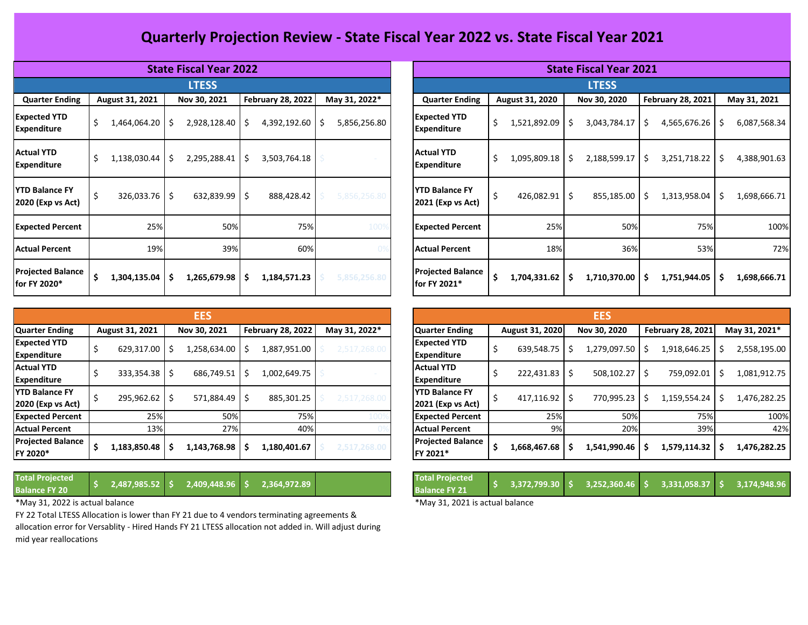## **Quarterly Projection Review - State Fiscal Year 2022 vs. State Fiscal Year 2021**

|                                            |                         | <b>State Fiscal Year 2022</b> |                          |                     | <b>State Fiscal Year 2021</b>              |                    |                         |                          |                   |  |  |  |  |  |
|--------------------------------------------|-------------------------|-------------------------------|--------------------------|---------------------|--------------------------------------------|--------------------|-------------------------|--------------------------|-------------------|--|--|--|--|--|
|                                            |                         | <b>LTESS</b>                  |                          |                     |                                            |                    | <b>LTESS</b>            |                          |                   |  |  |  |  |  |
| <b>Quarter Ending</b>                      | August 31, 2021         | Nov 30, 2021                  | <b>February 28, 2022</b> | May 31, 2022*       | <b>Quarter Ending</b>                      | August 31, 2020    | Nov 30, 2020            | <b>February 28, 2021</b> | May 31, 2021      |  |  |  |  |  |
| <b>Expected YTD</b><br><b>Expenditure</b>  | \$<br>$1,464,064.20$ \$ | $2,928,128.40$ \$             | 4,392,192.60             | 5,856,256.80<br>∣ S | <b>Expected YTD</b><br><b>Expenditure</b>  | 1,521,892.09<br>\$ | 3,043,784.17<br>1 S     | 4,565,676.26<br>-S       | 6,087,568.3<br>-S |  |  |  |  |  |
| <b>Actual YTD</b><br><b>Expenditure</b>    | 1,138,030.44            | $2,295,288.41$ \$<br>Ŝ.       | 3,503,764.18             |                     | <b>Actual YTD</b><br><b>Expenditure</b>    | \$<br>1,095,809.18 | 2,188,599.17            | 3,251,718.22             | Ŝ.<br>4,388,901.6 |  |  |  |  |  |
| <b>YTD Balance FY</b><br>2020 (Exp vs Act) | $326,033.76$ \$         | $632,839.99$ \ \$             | 888,428.42               | 5,856,256.80        | <b>YTD Balance FY</b><br>2021 (Exp vs Act) | 426,082.91         | 855,185.00 \$           | 1,313,958.04             | Ŝ.<br>1,698,666.  |  |  |  |  |  |
| <b>Expected Percent</b>                    | 25%                     | 50%                           | 75%                      | 100%                | <b>Expected Percent</b>                    | 25%                | 50%                     | 75%                      | 10 <sub>0</sub>   |  |  |  |  |  |
| <b>Actual Percent</b>                      | 19%                     | 39%                           | 60%                      |                     | <b>Actual Percent</b>                      | 18%                | 36%                     | 53%                      | 7                 |  |  |  |  |  |
| <b>Projected Balance</b><br>for FY 2020*   | 1,304,135.04            | $1,265,679.98$   \$<br>-S     | 1,184,571.23             | 5,856,256.80        | <b>Projected Balance</b><br>for FY 2021*   | 1,704,331.62       | 1,710,370.00   \$<br>-Ś | 1,751,944.05             | 1,698,666.<br>Ŝ.  |  |  |  |  |  |

|                                            |                   |                                                           | EES              |              |                | <b>EES</b> |                                               |  |              |  |                          |  |               |  |                 |  |
|--------------------------------------------|-------------------|-----------------------------------------------------------|------------------|--------------|----------------|------------|-----------------------------------------------|--|--------------|--|--------------------------|--|---------------|--|-----------------|--|
| <b>Quarter Ending</b>                      | August 31, 2021   | May 31, 2022*<br><b>February 28, 2022</b><br>Nov 30, 2021 |                  |              | Quarter Ending |            | August 31, 2020                               |  | Nov 30, 2020 |  | <b>February 28, 2021</b> |  | May 31, 2021* |  |                 |  |
| <b>Expected YTD</b><br><b>Expenditure</b>  | 629,317.00        | -S                                                        | \$   258,634.00. | 1,887,951.00 | 2,517,268.00   |            | <b>Expected YTD</b><br><b>Expenditure</b>     |  | 639,548.75   |  | \$ 279,097.50.           |  | 1,918,646.25  |  | 2,558,195.0     |  |
| <b>Actual YTD</b><br><b>Expenditure</b>    | $333,354.38$ \ \$ |                                                           | 686,749.51   \$  | 1,002,649.75 |                |            | <b>Actual YTD</b><br>Expenditure              |  | 222,431.83   |  | 508,102.27 \$            |  | 759,092.01    |  | 1,081,912.7     |  |
| <b>YTD Balance FY</b><br>2020 (Exp vs Act) | 295,962.62        |                                                           | $571.884.49$ S   | 885,301.25   | 2,517,268.00   |            | <b>IYTD Balance FY</b><br>$2021$ (Exp vs Act) |  | 417,116.92   |  | 770.995.23               |  | 1,159,554.24  |  | 1,476,282.2     |  |
| <b>Expected Percent</b>                    | 25%               |                                                           | 50%              | 75%          |                |            | <b>Expected Percent</b>                       |  | 25%          |  | 50%                      |  | 75%           |  | 10 <sup>C</sup> |  |
| <b>Actual Percent</b>                      | 13%               |                                                           | 27%              | 40%          |                |            | <b>Actual Percent</b>                         |  | 9%           |  | 20%                      |  | 39%           |  | 42              |  |
| <b>Projected Balance</b><br>FY 2020*       | 1,183,850.48      |                                                           | 1,143,768.98 \$  | 1,180,401.67 | 2,517,268.00   |            | <b>Projected Balance</b><br><b>FY 2021*</b>   |  | 1,668,467.68 |  | 1,541,990.46             |  | 1,579,114.32  |  | 1,476,282.2     |  |

**Total Projected** 

**Balance FY 20 \$ 2,487,985.52 \$ 2,409,448.96 \$ 2,364,972.89 \$ 8,373,524.80**

\*May 31, 2022 is actual balance **\*May 31, 2021** is actual balance

FY 22 Total LTESS Allocation is lower than FY 21 due to 4 vendors terminating agreements & allocation error for Versablity - Hired Hands FY 21 LTESS allocation not added in. Will adjust during mid year reallocations

|                                            |                           | <b>State Fiscal Year 2022</b> |                          |               |  | <b>State Fiscal Year 2021</b><br><b>LTESS</b> |                         |              |                              |                     |  |  |  |  |  |  |
|--------------------------------------------|---------------------------|-------------------------------|--------------------------|---------------|--|-----------------------------------------------|-------------------------|--------------|------------------------------|---------------------|--|--|--|--|--|--|
|                                            |                           | <b>LTESS</b>                  |                          |               |  |                                               |                         |              |                              |                     |  |  |  |  |  |  |
| <b>Quarter Ending</b>                      | August 31, 2021           | Nov 30, 2021                  | <b>February 28, 2022</b> | May 31, 2022* |  | <b>Quarter Ending</b>                         | August 31, 2020         | Nov 30, 2020 | <b>February 28, 2021</b>     | May 31, 2021        |  |  |  |  |  |  |
| <b>Expected YTD</b><br><b>Expenditure</b>  | Ś<br>1,464,064.20         | 2,928,128.40                  | $4,392,192.60$ \$<br>\$  | 5,856,256.80  |  | <b>Expected YTD</b><br><b>Expenditure</b>     | \$<br>,521,892.09 \$    | 3,043,784.17 | 4,565,676.26<br>-S           | \$.<br>6,087,568.34 |  |  |  |  |  |  |
| <b>Actual YTD</b><br><b>Expenditure</b>    | \$<br>$1,138,030.44$   \$ | 2,295,288.41                  | 3,503,764.18<br>-\$      |               |  | <b>Actual YTD</b><br><b>Expenditure</b>       | \$<br>$1,095,809.18$ \$ | 2,188,599.17 | 3,251,718.22<br><sup>S</sup> | \$<br>4,388,901.63  |  |  |  |  |  |  |
| <b>YTD Balance FY</b><br>2020 (Exp vs Act) | $326,033.76$ \$           | $632,839.99$ 5                | 888,428.42               | 5,856,256.80  |  | <b>YTD Balance FY</b><br>2021 (Exp vs Act)    | $426,082.91$ \$<br>\$   | 855,185.00   | 1,313,958.04<br>-S           | 1,698,666.71<br>-\$ |  |  |  |  |  |  |
| <b>Expected Percent</b>                    | 25%                       | 50%                           | 75%                      | 100%          |  | <b>Expected Percent</b>                       | 25%                     | 50%          | 75%                          | 100%                |  |  |  |  |  |  |
| Actual Percent                             | 19%                       | 39%                           | 60%                      |               |  | <b>Actual Percent</b>                         | 18%                     | 36%          | 53%                          | 72%                 |  |  |  |  |  |  |
| <b>Projected Balance</b><br>for FY 2020*   | 1,304,135.04<br>S         | 1,265,679.98                  | 1,184,571.23<br>-S       | 5,856,256.80  |  | <b>Projected Balance</b><br>for FY 2021*      | \$<br>$1,704,331.62$ \$ | 1,710,370.00 | 1,751,944.05<br>-S           | 1,698,666.71<br>\$. |  |  |  |  |  |  |

|                                            |                   | <b>EES</b>      |     |                          |               |                                               |                 | <b>EES</b>   |                          |               |
|--------------------------------------------|-------------------|-----------------|-----|--------------------------|---------------|-----------------------------------------------|-----------------|--------------|--------------------------|---------------|
| <b>Quarter Ending</b>                      | August 31, 2021   | Nov 30, 2021    |     | <b>February 28, 2022</b> | May 31, 2022* | <b>Quarter Ending</b>                         | August 31, 2020 | Nov 30, 2020 | <b>February 28, 2021</b> | May 31, 2021* |
| <b>Expected YTD</b><br>Expenditure         | 629,317.00        | ,258,634.00     |     | 1,887,951.00             | 2,517,268.00  | <b>Expected YTD</b><br><b>Expenditure</b>     | 639,548.75      | ,279,097.50  | 1,918,646.25             | 2,558,195.00  |
| <b>Actual YTD</b><br>Expenditure           | $333,354.38$   \$ | 686,749.51      | - 5 | 1,002,649.75             |               | <b>Actual YTD</b><br>Expenditure              | $222,431.83$ \$ | 508,102.27   | 759,092.01               | 1,081,912.75  |
| <b>YTD Balance FY</b><br>2020 (Exp vs Act) | 295,962.62        | $571,884.49$ \$ |     | 885,301.25               | 2,517,268.00  | <b>IYTD Balance FY</b><br>$2021$ (Exp vs Act) | $417,116.92$ \$ | 770,995.23   | 1,159,554.24             | 1,476,282.25  |
| <b>Expected Percent</b>                    | 25%               | 50%             |     | 75%                      |               | <b>Expected Percent</b>                       | 25%             | 50%          | 75%                      | 100%          |
| <b>Actual Percent</b>                      | 13%               | 27%             |     | 40%                      |               | <b>Actual Percent</b>                         | 9%              | 20%          | 39%                      | 42%           |
| <b>Projected Balance</b><br>FY 2020*       | 1,183,850.48      | L,143,768.98    |     | 1,180,401.67             | 2,517,268.00  | <b>Projected Balance</b><br><b>FY 2021*</b>   | 1,668,467.68    | 1,541,990.46 | 1,579,114.32             | 1,476,282.25  |

| <b>Total Projected</b><br><b>Balance FY 21</b> |  |  |  |  |
|------------------------------------------------|--|--|--|--|
|                                                |  |  |  |  |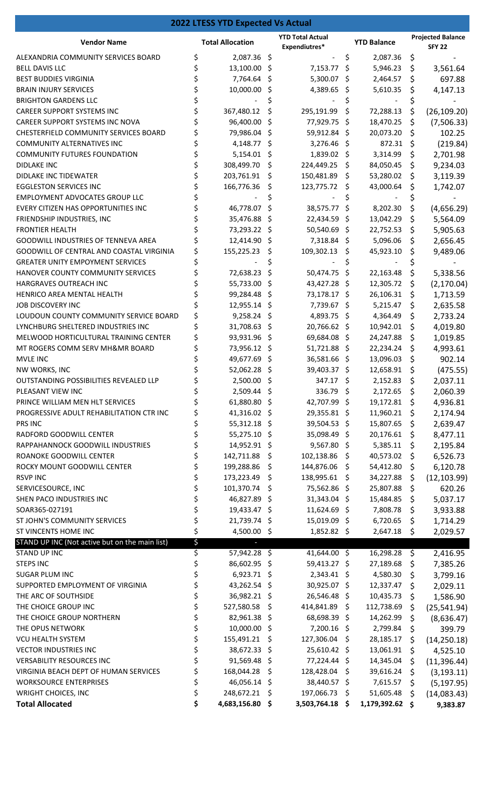|                                                                              |          | <b>2022 LTESS YTD Expected Vs Actual</b> |     |                                          |     |                        |          |                                           |
|------------------------------------------------------------------------------|----------|------------------------------------------|-----|------------------------------------------|-----|------------------------|----------|-------------------------------------------|
| <b>Vendor Name</b>                                                           |          | <b>Total Allocation</b>                  |     | <b>YTD Total Actual</b><br>Expendiutres* |     | <b>YTD Balance</b>     |          | <b>Projected Balance</b><br><b>SFY 22</b> |
| ALEXANDRIA COMMUNITY SERVICES BOARD                                          | \$       | 2,087.36 \$                              |     |                                          | \$  | 2,087.36               | \$       |                                           |
| <b>BELL DAVIS LLC</b>                                                        | \$       | 13,100.00                                | \$  | 7,153.77                                 | \$  | 5,946.23               | \$       | 3,561.64                                  |
| <b>BEST BUDDIES VIRGINIA</b>                                                 |          | 7,764.64                                 | \$. | 5,300.07                                 | S   | 2,464.57               | \$       | 697.88                                    |
| <b>BRAIN INJURY SERVICES</b>                                                 |          | 10,000.00                                | \$  | 4,389.65                                 | -Ş  | 5,610.35               | \$       | 4,147.13                                  |
| <b>BRIGHTON GARDENS LLC</b>                                                  | \$       |                                          | \$  |                                          |     |                        | \$       |                                           |
| <b>CAREER SUPPORT SYSTEMS INC</b>                                            | \$       | 367,480.12                               | Ś   | 295,191.99                               | \$  | 72,288.13              | \$       | (26, 109.20)                              |
| CAREER SUPPORT SYSTEMS INC NOVA                                              |          | 96,400.00                                | \$  | 77,929.75 \$                             |     | 18,470.25              | \$       | (7,506.33)                                |
| CHESTERFIELD COMMUNITY SERVICES BOARD                                        |          | 79,986.04 \$                             |     | 59,912.84 \$                             |     | 20,073.20              | \$       | 102.25                                    |
| <b>COMMUNITY ALTERNATIVES INC</b>                                            | \$       | 4,148.77                                 | \$  | 3,276.46 \$                              |     | 872.31                 | \$       | (219.84)                                  |
| COMMUNITY FUTURES FOUNDATION                                                 | \$       | 5,154.01                                 | \$  | 1,839.02 \$                              |     | 3,314.99               | \$       | 2,701.98                                  |
| <b>DIDLAKE INC</b>                                                           | \$       | 308,499.70                               | \$  | 224,449.25                               | S   | 84,050.45              | \$       | 9,234.03                                  |
| DIDLAKE INC TIDEWATER                                                        | \$       | 203,761.91                               | \$  | 150,481.89                               | Ŝ.  | 53,280.02              | \$       | 3,119.39                                  |
| <b>EGGLESTON SERVICES INC</b>                                                |          | 166,776.36                               | \$, | 123,775.72                               | \$. | 43,000.64              | \$       | 1,742.07                                  |
| EMPLOYMENT ADVOCATES GROUP LLC                                               | \$       |                                          |     |                                          |     |                        |          |                                           |
| EVERY CITIZEN HAS OPPORTUNITIES INC                                          | \$       | 46,778.07                                | \$. | 38,575.77 \$                             |     | 8,202.30               | \$       | (4,656.29)                                |
| FRIENDSHIP INDUSTRIES, INC                                                   |          | 35,476.88 \$                             |     | 22,434.59 \$                             |     | 13,042.29              | \$       | 5,564.09                                  |
| <b>FRONTIER HEALTH</b>                                                       |          | 73,293.22 \$                             |     | 50,540.69 \$                             |     | 22,752.53              | \$       | 5,905.63                                  |
| <b>GOODWILL INDUSTRIES OF TENNEVA AREA</b>                                   | \$<br>\$ | 12,414.90 \$                             |     | 7,318.84 \$                              |     | 5,096.06               | \$       | 2,656.45                                  |
| GOODWILL OF CENTRAL AND COASTAL VIRGINIA                                     | \$       | 155,225.23                               | \$  | 109,302.13                               | \$. | 45,923.10              | \$       | 9,489.06                                  |
| <b>GREATER UNITY EMPOYMENT SERVICES</b><br>HANOVER COUNTY COMMUNITY SERVICES |          | 72,638.23                                | \$  | 50,474.75                                | \$  |                        | \$       |                                           |
| HARGRAVES OUTREACH INC                                                       | \$       | 55,733.00 \$                             | \$  |                                          | \$. | 22,163.48              | \$       | 5,338.56                                  |
| HENRICO AREA MENTAL HEALTH                                                   | \$       | 99,284.48 \$                             |     | 43,427.28 \$<br>73,178.17 \$             |     | 12,305.72<br>26,106.31 | \$<br>\$ | (2, 170.04)                               |
| JOB DISCOVERY INC                                                            |          | 12,955.14 \$                             |     | 7,739.67 \$                              |     | 5,215.47               | \$       | 1,713.59<br>2,635.58                      |
| LOUDOUN COUNTY COMMUNITY SERVICE BOARD                                       | \$       | $9,258.24$ \$                            |     | 4,893.75 \$                              |     | 4,364.49               | \$       | 2,733.24                                  |
| LYNCHBURG SHELTERED INDUSTRIES INC                                           | \$       | 31,708.63 \$                             |     | 20,766.62 \$                             |     | 10,942.01              | \$       | 4,019.80                                  |
| MELWOOD HORTICULTURAL TRAINING CENTER                                        | \$       | 93,931.96 \$                             |     | 69,684.08 \$                             |     | 24,247.88              | \$       | 1,019.85                                  |
| MT ROGERS COMM SERV MH&MR BOARD                                              | \$       | 73,956.12 \$                             |     | 51,721.88 \$                             |     | 22,234.24              | \$       | 4,993.61                                  |
| <b>MVLE INC</b>                                                              |          | 49,677.69 \$                             |     | 36,581.66 \$                             |     | 13,096.03              | \$       | 902.14                                    |
| NW WORKS, INC                                                                |          | 52,062.28 \$                             |     | 39,403.37 \$                             |     | 12,658.91              | \$       | (475.55)                                  |
| OUTSTANDING POSSIBILITIES REVEALED LLP                                       |          | 2,500.00 \$                              |     | 347.17 \$                                |     | 2,152.83               | \$       | 2,037.11                                  |
| PLEASANT VIEW INC                                                            | \$       | 2,509.44 \$                              |     | 336.79 \$                                |     | 2,172.65               | \$       | 2,060.39                                  |
| PRINCE WILLIAM MEN HLT SERVICES                                              | \$       | 61,880.80 \$                             |     | 42,707.99 \$                             |     | 19,172.81              | \$       | 4,936.81                                  |
| PROGRESSIVE ADULT REHABILITATION CTR INC                                     | \$       | 41,316.02 \$                             |     | 29,355.81 \$                             |     | 11,960.21              | \$       | 2,174.94                                  |
| PRS INC                                                                      | \$       | 55,312.18 \$                             |     | 39,504.53 \$                             |     | 15,807.65              | \$       | 2,639.47                                  |
| RADFORD GOODWILL CENTER                                                      | \$       | 55,275.10 \$                             |     | 35,098.49 \$                             |     | 20,176.61              | \$       | 8,477.11                                  |
| RAPPAHANNOCK GOODWILL INDUSTRIES                                             | \$       | 14,952.91 \$                             |     | 9,567.80 \$                              |     | 5,385.11               | \$       | 2,195.84                                  |
| ROANOKE GOODWILL CENTER                                                      | \$       | 142,711.88                               | \$  | 102,138.86 \$                            |     | 40,573.02              | \$       | 6,526.73                                  |
| ROCKY MOUNT GOODWILL CENTER                                                  | \$       | 199,288.86                               | \$  | 144,876.06                               | \$  | 54,412.80              | \$       | 6,120.78                                  |
| <b>RSVP INC</b>                                                              | \$       | 173,223.49                               | \$  | 138,995.61 \$                            |     | 34,227.88              | \$       | (12, 103.99)                              |
| SERVICESOURCE, INC                                                           | \$       | 101,370.74                               | \$  | 75,562.86 \$                             |     | 25,807.88              | \$       | 620.26                                    |
| SHEN PACO INDUSTRIES INC                                                     | \$       | 46,827.89 \$                             |     | 31,343.04 \$                             |     | 15,484.85              | \$       | 5,037.17                                  |
| SOAR365-027191                                                               | \$       | 19,433.47 \$                             |     | 11,624.69 \$                             |     | 7,808.78               | \$       | 3,933.88                                  |
| ST JOHN'S COMMUNITY SERVICES                                                 | \$       | 21,739.74 \$                             |     | 15,019.09 \$                             |     | 6,720.65               | \$       | 1,714.29                                  |
| ST VINCENTS HOME INC                                                         | \$       | 4,500.00 \$                              |     | $1,852.82$ \$                            |     | 2,647.18               | \$       | 2,029.57                                  |
| STAND UP INC (Not active but on the main list)                               | \$       | $\overline{\phantom{a}}$                 |     |                                          |     |                        |          |                                           |
| STAND UP INC                                                                 | \$       | 57,942.28 \$                             |     | 41,644.00 \$                             |     | 16,298.28              | \$       | 2,416.95                                  |
| <b>STEPS INC</b>                                                             | \$       | 86,602.95 \$                             |     | 59,413.27 \$                             |     | 27,189.68              | \$       | 7,385.26                                  |
| <b>SUGAR PLUM INC</b>                                                        | \$       | $6,923.71$ \$                            |     | 2,343.41 \$                              |     | 4,580.30               | \$       | 3,799.16                                  |
| SUPPORTED EMPLOYMENT OF VIRGINIA                                             | \$       | 43,262.54 \$                             |     | 30,925.07 \$                             |     | 12,337.47              | \$       | 2,029.11                                  |
| THE ARC OF SOUTHSIDE                                                         | \$       | 36,982.21 \$                             |     | 26,546.48 \$                             |     | 10,435.73              | \$       | 1,586.90                                  |
| THE CHOICE GROUP INC                                                         | \$       | 527,580.58                               | \$  | 414,841.89 \$                            |     | 112,738.69             | \$       | (25, 541.94)                              |
| THE CHOICE GROUP NORTHERN                                                    | \$       | 82,961.38 \$                             |     | 68,698.39 \$                             |     | 14,262.99              | \$       | (8,636.47)                                |
| THE OPUS NETWORK                                                             | \$       | 10,000.00                                | \$  | 7,200.16 \$                              |     | 2,799.84               | \$       | 399.79                                    |
| <b>VCU HEALTH SYSTEM</b>                                                     | \$       | 155,491.21                               | \$, | 127,306.04                               | \$  | 28,185.17              | \$       | (14, 250.18)                              |
| <b>VECTOR INDUSTRIES INC</b>                                                 | \$       | 38,672.33                                | \$. | 25,610.42 \$                             |     | 13,061.91              | \$       | 4,525.10                                  |
| <b>VERSABILITY RESOURCES INC</b><br>VIRGINIA BEACH DEPT OF HUMAN SERVICES    | \$<br>\$ | 91,569.48                                | \$. | 77,224.44 \$                             |     | 14,345.04              | Ŝ        | (11, 396.44)                              |
|                                                                              |          | 168,044.28                               | \$. | 128,428.04                               | \$  | 39,616.24              | \$       | (3, 193.11)                               |
| <b>WORKSOURCE ENTERPRISES</b><br>WRIGHT CHOICES, INC                         | \$<br>\$ | 46,056.14 \$<br>248,672.21               | -\$ | 38,440.57 \$<br>197,066.73               | \$  | 7,615.57<br>51,605.48  | \$       | (5, 197.95)                               |
| <b>Total Allocated</b>                                                       | \$       | 4,683,156.80                             | \$  | 3,503,764.18 \$                          |     | 1,179,392.62 \$        | \$       | (14,083.43)<br>9,383.87                   |
|                                                                              |          |                                          |     |                                          |     |                        |          |                                           |